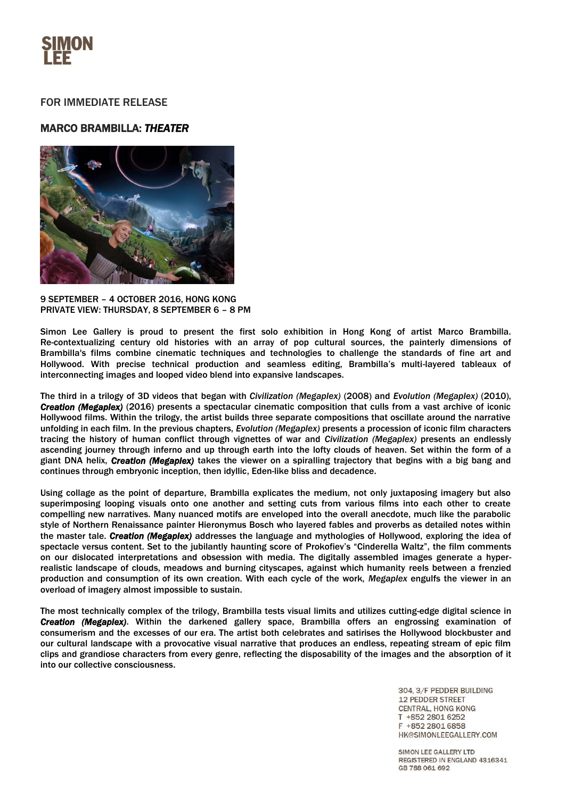

## FOR IMMEDIATE RELEASE

## MARCO BRAMBILLA: *THEATER*



9 SEPTEMBER – 4 OCTOBER 2016, HONG KONG PRIVATE VIEW: THURSDAY, 8 SEPTEMBER 6 – 8 PM

Simon Lee Gallery is proud to present the first solo exhibition in Hong Kong of artist Marco Brambilla. Re-contextualizing century old histories with an array of pop cultural sources, the painterly dimensions of Brambilla's films combine cinematic techniques and technologies to challenge the standards of fine art and Hollywood. With precise technical production and seamless editing, Brambilla's multi-layered tableaux of interconnecting images and looped video blend into expansive landscapes.

The third in a trilogy of 3D videos that began with *Civilization (Megaplex)* (2008) and *Evolution (Megaplex)* (2010), *Creation (Megaplex)* (2016) presents a spectacular cinematic composition that culls from a vast archive of iconic Hollywood films. Within the trilogy, the artist builds three separate compositions that oscillate around the narrative unfolding in each film. In the previous chapters, *Evolution (Megaplex)* presents a procession of iconic film characters tracing the history of human conflict through vignettes of war and *Civilization (Megaplex)* presents an endlessly ascending journey through inferno and up through earth into the lofty clouds of heaven. Set within the form of a giant DNA helix, *Creation (Megaplex)* takes the viewer on a spiralling trajectory that begins with a big bang and continues through embryonic inception, then idyllic, Eden-like bliss and decadence.

Using collage as the point of departure, Brambilla explicates the medium, not only juxtaposing imagery but also superimposing looping visuals onto one another and setting cuts from various films into each other to create compelling new narratives. Many nuanced motifs are enveloped into the overall anecdote, much like the parabolic style of Northern Renaissance painter Hieronymus Bosch who layered fables and proverbs as detailed notes within the master tale. *Creation (Megaplex)* addresses the language and mythologies of Hollywood, exploring the idea of spectacle versus content. Set to the jubilantly haunting score of Prokofiev's "Cinderella Waltz", the film comments on our dislocated interpretations and obsession with media. The digitally assembled images generate a hyperrealistic landscape of clouds, meadows and burning cityscapes, against which humanity reels between a frenzied production and consumption of its own creation. With each cycle of the work, *Megaplex* engulfs the viewer in an overload of imagery almost impossible to sustain.

The most technically complex of the trilogy, Brambilla tests visual limits and utilizes cutting-edge digital science in *Creation (Megaplex)*. Within the darkened gallery space, Brambilla offers an engrossing examination of consumerism and the excesses of our era. The artist both celebrates and satirises the Hollywood blockbuster and our cultural landscape with a provocative visual narrative that produces an endless, repeating stream of epic film clips and grandiose characters from every genre, reflecting the disposability of the images and the absorption of it into our collective consciousness.

> 304, 3/F PEDDER BUILDING **12 PEDDER STREET CENTRAL, HONG KONG** T +852 2801 6252 F +852 2801 6858 HK@SIMONLEEGALLERY.COM

SIMON LEE GALLERY LTD REGISTERED IN ENGLAND 4316341 GB 788 061 692